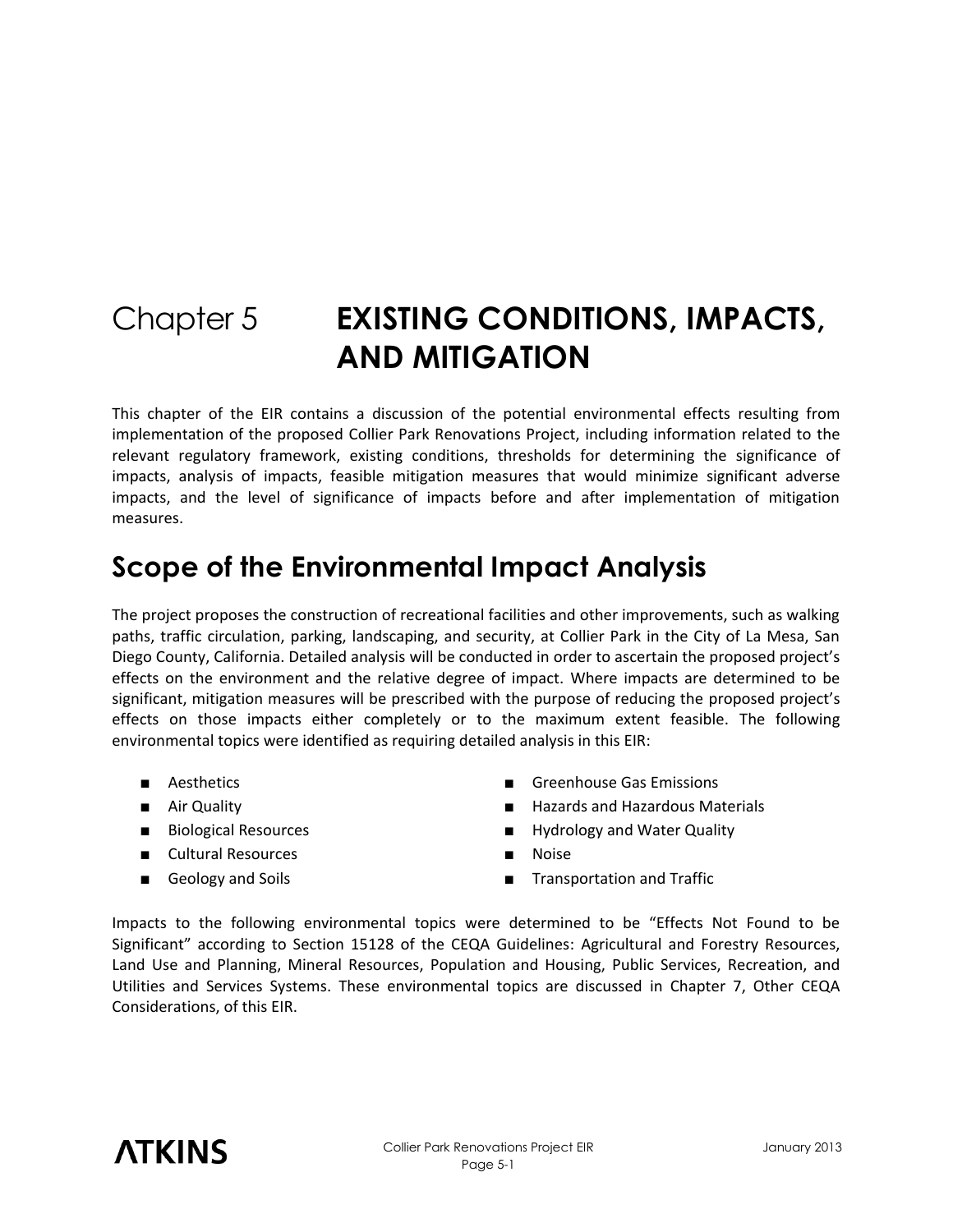# Chapter 5 **EXISTING CONDITIONS, IMPACTS, AND MITIGATION**

This chapter of the EIR contains a discussion of the potential environmental effects resulting from implementation of the proposed Collier Park Renovations Project, including information related to the relevant regulatory framework, existing conditions, thresholds for determining the significance of impacts, analysis of impacts, feasible mitigation measures that would minimize significant adverse impacts, and the level of significance of impacts before and after implementation of mitigation measures.

# **Scope of the Environmental Impact Analysis**

The project proposes the construction of recreational facilities and other improvements, such as walking paths, traffic circulation, parking, landscaping, and security, at Collier Park in the City of La Mesa, San Diego County, California. Detailed analysis will be conducted in order to ascertain the proposed project's effects on the environment and the relative degree of impact. Where impacts are determined to be significant, mitigation measures will be prescribed with the purpose of reducing the proposed project's effects on those impacts either completely or to the maximum extent feasible. The following environmental topics were identified as requiring detailed analysis in this EIR:

- 
- 
- 
- Cultural Resources Noise
- 
- Aesthetics Greenhouse Gas Emissions
- Air Quality  **Hazards and Hazardous Materials**
- Biological Resources Hydrology and Water Quality
	-
- Geology and Soils Transportation and Traffic

Impacts to the following environmental topics were determined to be "Effects Not Found to be Significant" according to Section 15128 of the CEQA Guidelines: Agricultural and Forestry Resources, Land Use and Planning, Mineral Resources, Population and Housing, Public Services, Recreation, and Utilities and Services Systems. These environmental topics are discussed in Chapter 7, Other CEQA Considerations, of this EIR.

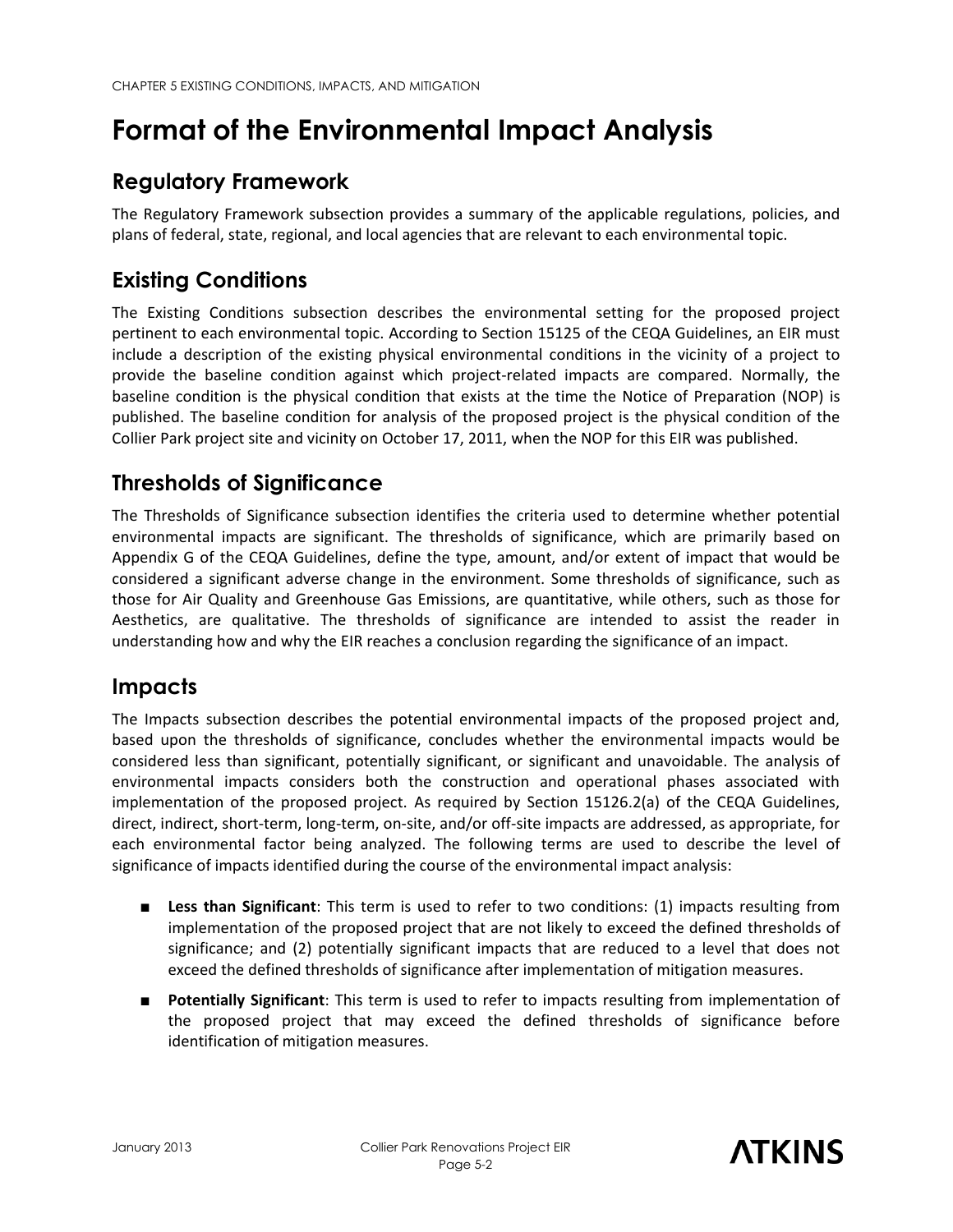# **Format of the Environmental Impact Analysis**

#### **Regulatory Framework**

The Regulatory Framework subsection provides a summary of the applicable regulations, policies, and plans of federal, state, regional, and local agencies that are relevant to each environmental topic.

## **Existing Conditions**

The Existing Conditions subsection describes the environmental setting for the proposed project pertinent to each environmental topic. According to Section 15125 of the CEQA Guidelines, an EIR must include a description of the existing physical environmental conditions in the vicinity of a project to provide the baseline condition against which project-related impacts are compared. Normally, the baseline condition is the physical condition that exists at the time the Notice of Preparation (NOP) is published. The baseline condition for analysis of the proposed project is the physical condition of the Collier Park project site and vicinity on October 17, 2011, when the NOP for this EIR was published.

### **Thresholds of Significance**

The Thresholds of Significance subsection identifies the criteria used to determine whether potential environmental impacts are significant. The thresholds of significance, which are primarily based on Appendix G of the CEQA Guidelines, define the type, amount, and/or extent of impact that would be considered a significant adverse change in the environment. Some thresholds of significance, such as those for Air Quality and Greenhouse Gas Emissions, are quantitative, while others, such as those for Aesthetics, are qualitative. The thresholds of significance are intended to assist the reader in understanding how and why the EIR reaches a conclusion regarding the significance of an impact.

### **Impacts**

The Impacts subsection describes the potential environmental impacts of the proposed project and, based upon the thresholds of significance, concludes whether the environmental impacts would be considered less than significant, potentially significant, or significant and unavoidable. The analysis of environmental impacts considers both the construction and operational phases associated with implementation of the proposed project. As required by Section 15126.2(a) of the CEQA Guidelines, direct, indirect, short-term, long-term, on-site, and/or off-site impacts are addressed, as appropriate, for each environmental factor being analyzed. The following terms are used to describe the level of significance of impacts identified during the course of the environmental impact analysis:

- **Less than Significant**: This term is used to refer to two conditions: (1) impacts resulting from implementation of the proposed project that are not likely to exceed the defined thresholds of significance; and (2) potentially significant impacts that are reduced to a level that does not exceed the defined thresholds of significance after implementation of mitigation measures.
- **Potentially Significant**: This term is used to refer to impacts resulting from implementation of the proposed project that may exceed the defined thresholds of significance before identification of mitigation measures.

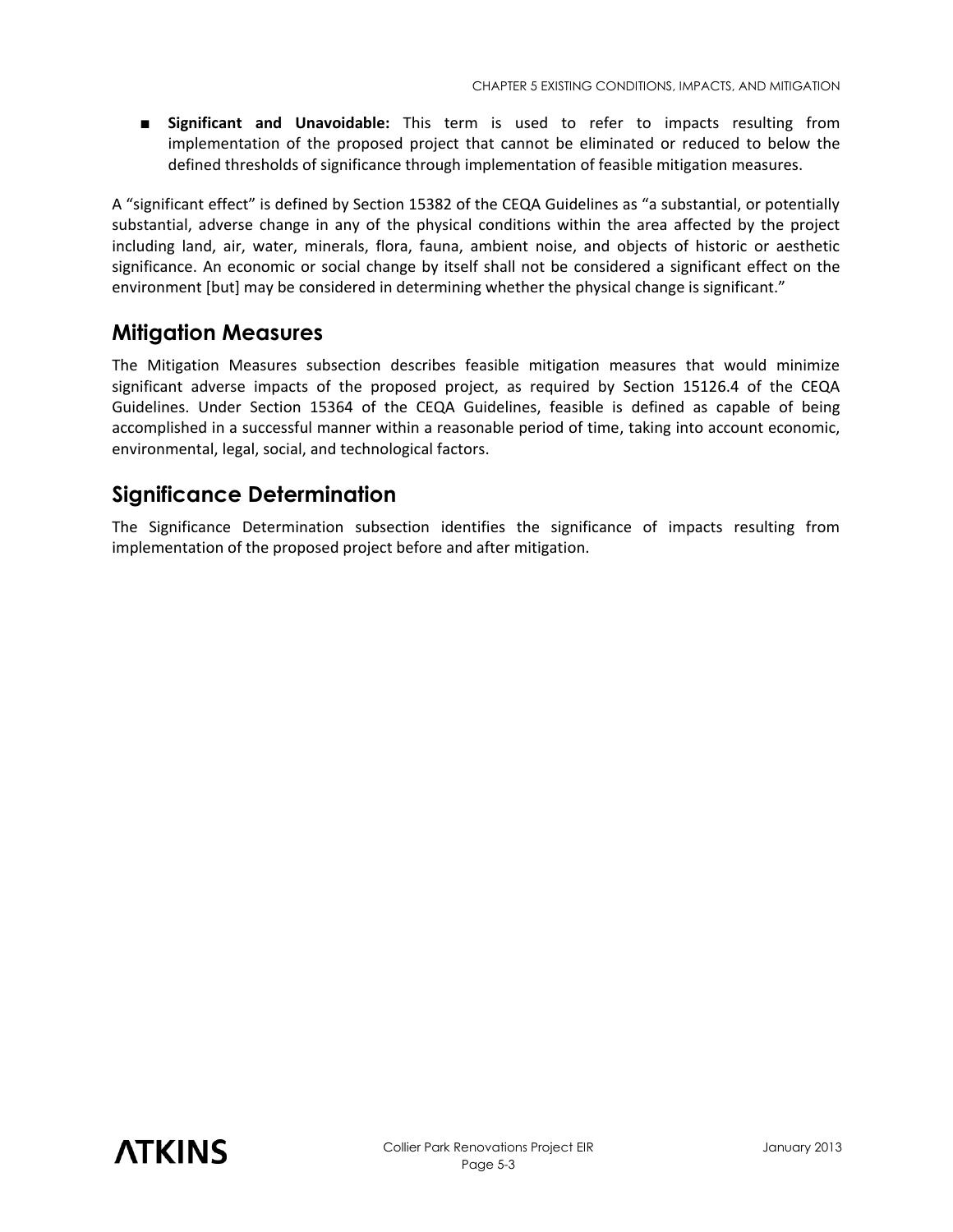■ **Significant and Unavoidable:** This term is used to refer to impacts resulting from implementation of the proposed project that cannot be eliminated or reduced to below the defined thresholds of significance through implementation of feasible mitigation measures.

A "significant effect" is defined by Section 15382 of the CEQA Guidelines as "a substantial, or potentially substantial, adverse change in any of the physical conditions within the area affected by the project including land, air, water, minerals, flora, fauna, ambient noise, and objects of historic or aesthetic significance. An economic or social change by itself shall not be considered a significant effect on the environment [but] may be considered in determining whether the physical change is significant."

#### **Mitigation Measures**

The Mitigation Measures subsection describes feasible mitigation measures that would minimize significant adverse impacts of the proposed project, as required by Section 15126.4 of the CEQA Guidelines. Under Section 15364 of the CEQA Guidelines, feasible is defined as capable of being accomplished in a successful manner within a reasonable period of time, taking into account economic, environmental, legal, social, and technological factors.

#### **Significance Determination**

The Significance Determination subsection identifies the significance of impacts resulting from implementation of the proposed project before and after mitigation.